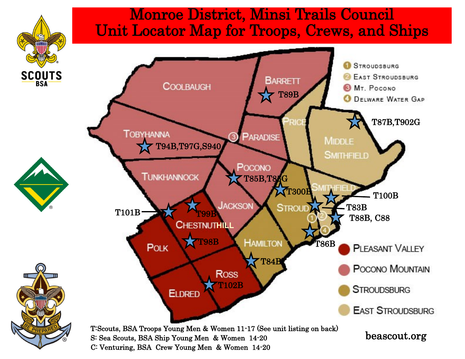